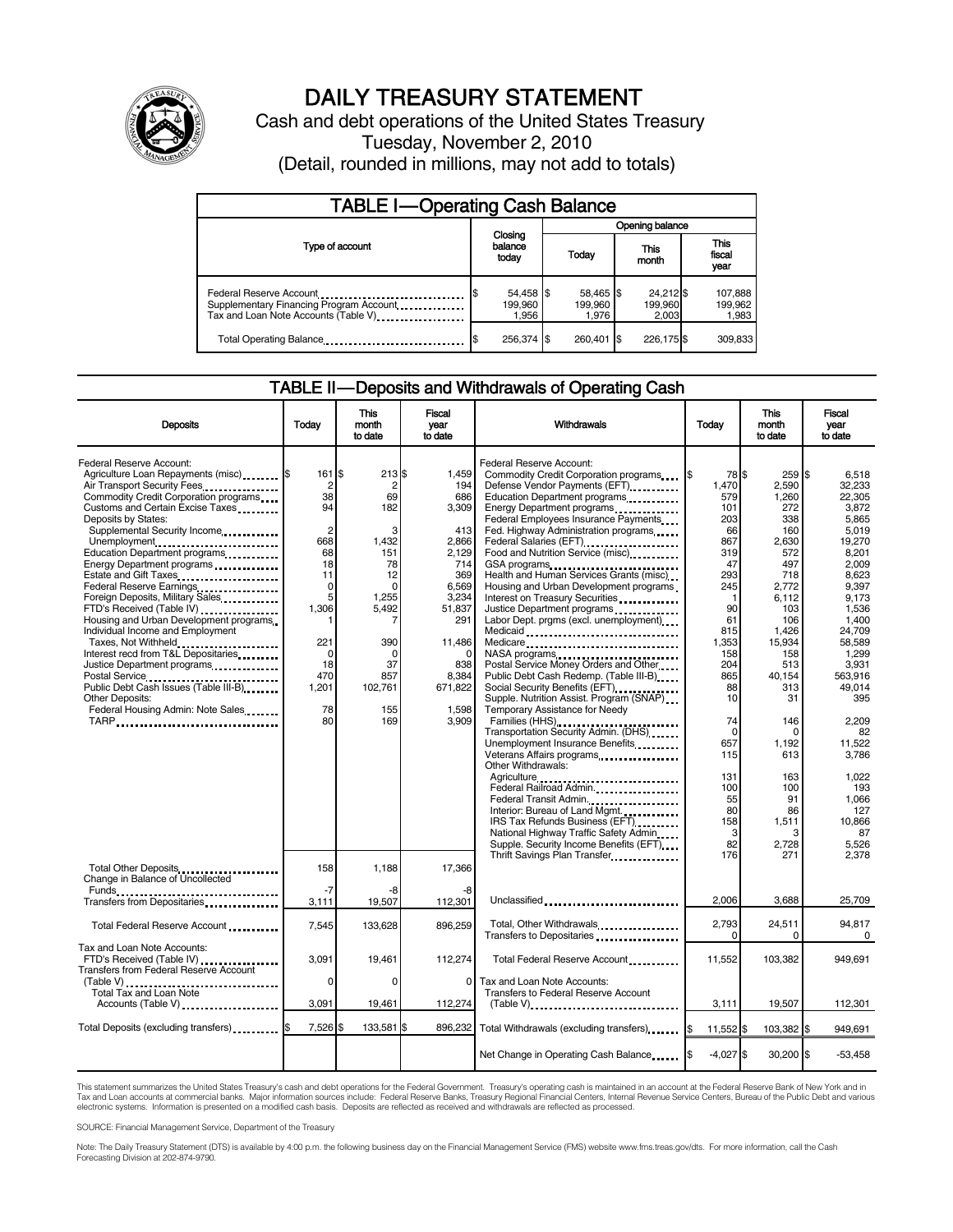

# DAILY TREASURY STATEMENT

Cash and debt operations of the United States Treasury Tuesday, November 2, 2010 (Detail, rounded in millions, may not add to totals)

| <b>TABLE I-Operating Cash Balance</b>                                                                      |                                     |                               |                               |                             |  |  |
|------------------------------------------------------------------------------------------------------------|-------------------------------------|-------------------------------|-------------------------------|-----------------------------|--|--|
|                                                                                                            |                                     | Opening balance               |                               |                             |  |  |
| Type of account                                                                                            | Closing<br>balance<br>today         | Today                         | This<br>month                 | This<br>fiscal<br>year      |  |  |
| Federal Reserve Account<br>Supplementary Financing Program Account<br>Tax and Loan Note Accounts (Table V) | 54,458 \$<br>\$<br>199.960<br>1,956 | 58,465 \$<br>199.960<br>1.976 | 24,212 \$<br>199,960<br>2.003 | 107,888<br>199,962<br>1,983 |  |  |
| Total Operating Balance                                                                                    | 256.374 \$                          | 260.401 \$                    | 226.175 \$                    | 309,833                     |  |  |

### TABLE II — Deposits and Withdrawals of Operating Cash

| <b>Deposits</b>                                                                                                                                                                                                                                                                                                     | Todav                                                                     | This<br>month<br>to date                                       | Fiscal<br>year<br>to date                                    | Withdrawals                                                                                                                                                                                                                                                                                                                  | Todav                                                         | <b>This</b><br>month<br>to date                                      | Fiscal<br>vear<br>to date                                                        |
|---------------------------------------------------------------------------------------------------------------------------------------------------------------------------------------------------------------------------------------------------------------------------------------------------------------------|---------------------------------------------------------------------------|----------------------------------------------------------------|--------------------------------------------------------------|------------------------------------------------------------------------------------------------------------------------------------------------------------------------------------------------------------------------------------------------------------------------------------------------------------------------------|---------------------------------------------------------------|----------------------------------------------------------------------|----------------------------------------------------------------------------------|
| Federal Reserve Account:<br>Agriculture Loan Repayments (misc) \$<br>Air Transport Security Fees<br>Commodity Credit Corporation programs<br>Customs and Certain Excise Taxes<br>Deposits by States:<br>Supplemental Security Income<br>Unemployment<br>Education Department programs<br>Energy Department programs | 161 \$<br>$\overline{c}$<br>38<br>94<br>$\overline{2}$<br>668<br>68<br>18 | 213S<br>$\overline{2}$<br>69<br>182<br>3<br>1,432<br>151<br>78 | 1.459<br>194<br>686<br>3,309<br>413<br>2,866<br>2.129<br>714 | Federal Reserve Account:<br>Commodity Credit Corporation programs<br>Defense Vendor Payments (EFT)<br>Education Department programs<br>Federal Employees Insurance Payments<br>Fed. Highway Administration programs<br>Federal Salaries (EFT)<br>Federal Salaries (EFT)<br>Food and Nutrition Service (misc)<br>GSA programs | 78 \$<br>1,470<br>579<br>101<br>203<br>66<br>867<br>319<br>47 | 259 \$<br>2,590<br>1,260<br>272<br>338<br>160<br>2,630<br>572<br>497 | 6.518<br>32,233<br>22.305<br>3.872<br>5.865<br>5,019<br>19.270<br>8.201<br>2,009 |
| Estate and Gift Taxes<br>Federal Reserve Earnings<br>Foreign Deposits, Military Sales<br>FTD's Received (Table IV)<br>Housing and Urban Development programs<br>Individual Income and Employment<br>Taxes, Not Withheld                                                                                             | 11<br>$\mathbf 0$<br>5<br>1,306<br>221                                    | 12<br>$\Omega$<br>1,255<br>5,492<br>390                        | 369<br>6,569<br>3,234<br>51,837<br>291<br>11,486             | Health and Human Services Grants (misc)<br>Housing and Urban Development programs<br>Interest on Treasury Securities<br>Justice Department programs<br>Labor Dept. prgms (excl. unemployment)<br>Medicaid<br>Medicare                                                                                                        | 293<br>245<br>-1<br>90<br>61<br>815<br>1,353                  | 718<br>2.772<br>6,112<br>103<br>106<br>1,426<br>15,934               | 8,623<br>9.397<br>9,173<br>1,536<br>1,400<br>24,709<br>58,589                    |
| Interest recd from T&L Depositaries<br>Justice Department programs<br>Postal Service<br>Public Debt Cash Issues (Table III-B)<br>1999 - Table III-B)<br><b>Other Deposits:</b><br>Federal Housing Admin: Note Sales                                                                                                 | 0<br>18<br>470<br>1,201<br>78                                             | $\Omega$<br>37<br>857<br>102,761<br>155                        | 838<br>8,384<br>671,822<br>1,598                             | NASA programs<br>Postal Service Money Orders and Other<br>Public Debt Cash Redemp. (Table III-B)<br>Social Security Benefits (EFT)<br>Supple. Nutrition Assist. Program (SNAP)<br>Temporary Assistance for Needy                                                                                                             | 158<br>204<br>865<br>88<br>10                                 | 158<br>513<br>40,154<br>313<br>31                                    | 1.299<br>3,931<br>563.916<br>49.014<br>395                                       |
|                                                                                                                                                                                                                                                                                                                     | 80                                                                        | 169                                                            | 3,909                                                        | Families (HHS)<br>Transportation Security Admin. (DHS)<br>Unemployment Insurance Benefits<br>Other Withdrawals:<br>Agriculture<br>Federal Railroad Admin                                                                                                                                                                     | 74<br>$\Omega$<br>657<br>115<br>131                           | 146<br>n<br>1,192<br>613<br>163                                      | 2,209<br>82<br>11,522<br>3,786<br>1.022                                          |
|                                                                                                                                                                                                                                                                                                                     |                                                                           |                                                                |                                                              | Federal Transit Admin.<br>Interior: Bureau of Land Mgmt.<br>IRS Tax Refunds Business (EFT)<br>National Highway Traffic Safety Admin<br>Supple. Security Income Benefits (EFT)<br>Thrift Savings Plan Transfer                                                                                                                | 100<br>55<br>80<br>158<br>3<br>82<br>176                      | 100<br>91<br>86<br>1,511<br>3<br>2,728<br>271                        | 193<br>1.066<br>127<br>10,866<br>87<br>5.526<br>2,378                            |
| Total Other Deposits<br>Change in Balance of Uncollected<br>Funds                                                                                                                                                                                                                                                   | 158<br>$-7$                                                               | 1,188<br>-8                                                    | 17,366<br>-8                                                 |                                                                                                                                                                                                                                                                                                                              |                                                               |                                                                      |                                                                                  |
| Transfers from Depositaries                                                                                                                                                                                                                                                                                         | 3,111                                                                     | 19,507                                                         | 112,301                                                      | Unclassified                                                                                                                                                                                                                                                                                                                 | 2,006                                                         | 3,688                                                                | 25,709                                                                           |
| Total Federal Reserve Account                                                                                                                                                                                                                                                                                       | 7,545                                                                     | 133,628                                                        | 896,259                                                      | Total, Other Withdrawals<br>Transfers to Depositaries                                                                                                                                                                                                                                                                        | 2,793                                                         | 24,511<br>O                                                          | 94.817<br>0                                                                      |
| Tax and Loan Note Accounts:<br>FTD's Received (Table IV)<br><b>Transfers from Federal Reserve Account</b>                                                                                                                                                                                                           | 3.091                                                                     | 19.461                                                         | 112,274                                                      | Total Federal Reserve Account                                                                                                                                                                                                                                                                                                | 11,552                                                        | 103.382                                                              | 949.691                                                                          |
| Total Tax and Loan Note<br>Accounts (Table V)                                                                                                                                                                                                                                                                       | 0<br>3,091                                                                | $\Omega$<br>19,461                                             | $\Omega$<br>112,274                                          | Tax and Loan Note Accounts:<br><b>Transfers to Federal Reserve Account</b><br>$(Table V)$                                                                                                                                                                                                                                    | 3,111                                                         | 19,507                                                               | 112,301                                                                          |
| Total Deposits (excluding transfers)                                                                                                                                                                                                                                                                                | 7,526                                                                     | 133,581 \$                                                     | 896,232                                                      | Total Withdrawals (excluding transfers)                                                                                                                                                                                                                                                                                      | 11,552 \$                                                     | 103,382 \$                                                           | 949,691                                                                          |
|                                                                                                                                                                                                                                                                                                                     |                                                                           |                                                                |                                                              | Net Change in Operating Cash Balance                                                                                                                                                                                                                                                                                         | $-4,027$ \$                                                   | 30,200 \$                                                            | $-53,458$                                                                        |

This statement summarizes the United States Treasury's cash and debt operations for the Federal Government. Treasury's operating cash is maintained in an account at the Federal Reserve Bank of New York and in<br>Tax and Loan electronic systems. Information is presented on a modified cash basis. Deposits are reflected as received and withdrawals are reflected as processed.

SOURCE: Financial Management Service, Department of the Treasury

Note: The Daily Treasury Statement (DTS) is available by 4:00 p.m. the following business day on the Financial Management Service (FMS) website www.fms.treas.gov/dts. For more information, call the Cash Forecasting Division at 202-874-9790.